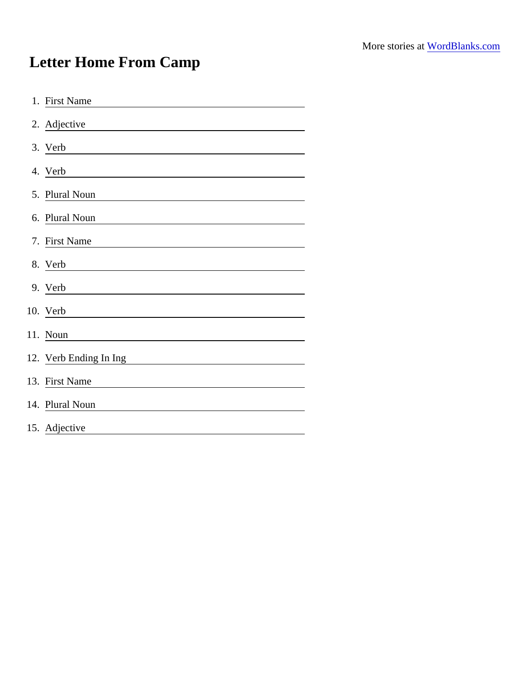## Letter Home From Camp

| 1. First Name                                                           |
|-------------------------------------------------------------------------|
| 2. Adjective<br><u> 1989 - Johann Barbara, martin amerikan basar da</u> |
| 3. Verb                                                                 |
| 4. Verb                                                                 |
| 5. Plural Noun                                                          |
| 6. Plural Noun                                                          |
| 7. First Name                                                           |
|                                                                         |
| 9. Verb<br><u> 1989 - Johann Barbara, martxa a</u>                      |
| 10. Verb                                                                |
| 11. Noun                                                                |
| 12. Verb Ending In Ing                                                  |
| 13. First Name                                                          |
| 14. Plural Noun                                                         |
| 15. Adjective                                                           |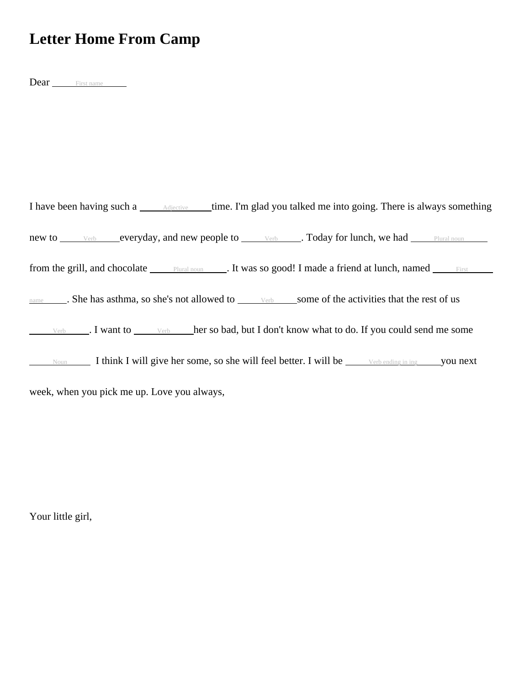## **Letter Home From Camp**

Dear First name

I have been having such a  $\qquad$  Adjective time. I'm glad you talked me into going. There is always something new to verb everyday, and new people to verb . Today for lunch, we had Plural noun from the grill, and chocolate <u>Plural noun</u> . It was so good! I made a friend at lunch, named First name . She has asthma, so she's not allowed to <u>verb</u> some of the activities that the rest of us  $V_{\text{erb}}$  . I want to  $\Box$  Verb her so bad, but I don't know what to do. If you could send me some Noun I think I will give her some, so she will feel better. I will be  $\Box$  Verb ending in ing you next week, when you pick me up. Love you always,

Your little girl,